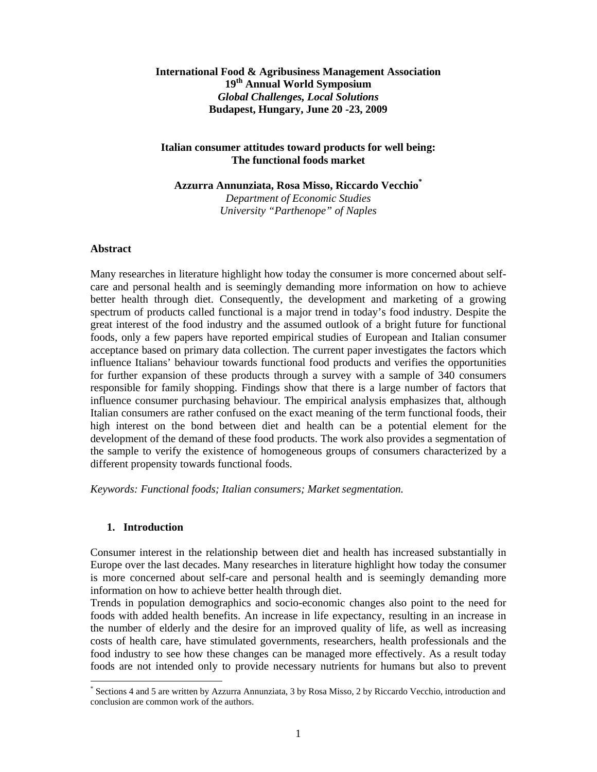## **International Food & Agribusiness Management Association 19th Annual World Symposium**  *Global Challenges, Local Solutions*  **Budapest, Hungary, June 20 -23, 2009**

## **Italian consumer attitudes toward products for well being: The functional foods market**

**Azzurra Annunziata, Rosa Misso, Riccardo Vecchio\*** *Department of Economic Studies University "Parthenope" of Naples* 

## **Abstract**

Many researches in literature highlight how today the consumer is more concerned about selfcare and personal health and is seemingly demanding more information on how to achieve better health through diet. Consequently, the development and marketing of a growing spectrum of products called functional is a major trend in today's food industry. Despite the great interest of the food industry and the assumed outlook of a bright future for functional foods, only a few papers have reported empirical studies of European and Italian consumer acceptance based on primary data collection. The current paper investigates the factors which influence Italians' behaviour towards functional food products and verifies the opportunities for further expansion of these products through a survey with a sample of 340 consumers responsible for family shopping. Findings show that there is a large number of factors that influence consumer purchasing behaviour. The empirical analysis emphasizes that, although Italian consumers are rather confused on the exact meaning of the term functional foods, their high interest on the bond between diet and health can be a potential element for the development of the demand of these food products. The work also provides a segmentation of the sample to verify the existence of homogeneous groups of consumers characterized by a different propensity towards functional foods.

*Keywords: Functional foods; Italian consumers; Market segmentation.* 

## **1. Introduction**

 $\overline{\phantom{a}}$ 

Consumer interest in the relationship between diet and health has increased substantially in Europe over the last decades. Many researches in literature highlight how today the consumer is more concerned about self-care and personal health and is seemingly demanding more information on how to achieve better health through diet.

Trends in population demographics and socio-economic changes also point to the need for foods with added health benefits. An increase in life expectancy, resulting in an increase in the number of elderly and the desire for an improved quality of life, as well as increasing costs of health care, have stimulated governments, researchers, health professionals and the food industry to see how these changes can be managed more effectively. As a result today foods are not intended only to provide necessary nutrients for humans but also to prevent

<sup>\*</sup> Sections 4 and 5 are written by Azzurra Annunziata, 3 by Rosa Misso, 2 by Riccardo Vecchio, introduction and conclusion are common work of the authors.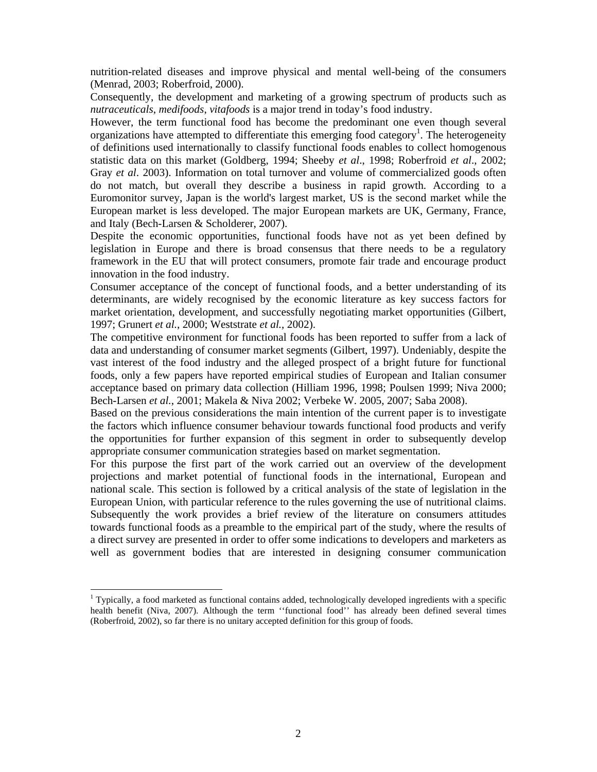nutrition-related diseases and improve physical and mental well-being of the consumers (Menrad, 2003; Roberfroid, 2000).

Consequently, the development and marketing of a growing spectrum of products such as *nutraceuticals*, *medifoods*, *vitafoods* is a major trend in today's food industry.

However, the term functional food has become the predominant one even though several organizations have attempted to differentiate this emerging food category<sup>1</sup>. The heterogeneity of definitions used internationally to classify functional foods enables to collect homogenous statistic data on this market (Goldberg, 1994; Sheeby *et al*., 1998; Roberfroid *et al*., 2002; Gray *et al*. 2003). Information on total turnover and volume of commercialized goods often do not match, but overall they describe a business in rapid growth. According to a Euromonitor survey, Japan is the world's largest market, US is the second market while the European market is less developed. The major European markets are UK, Germany, France, and Italy (Bech-Larsen & Scholderer, 2007).

Despite the economic opportunities, functional foods have not as yet been defined by legislation in Europe and there is broad consensus that there needs to be a regulatory framework in the EU that will protect consumers, promote fair trade and encourage product innovation in the food industry.

Consumer acceptance of the concept of functional foods, and a better understanding of its determinants, are widely recognised by the economic literature as key success factors for market orientation, development, and successfully negotiating market opportunities (Gilbert, 1997; Grunert *et al.*, 2000; Weststrate *et al.*, 2002).

The competitive environment for functional foods has been reported to suffer from a lack of data and understanding of consumer market segments (Gilbert, 1997). Undeniably, despite the vast interest of the food industry and the alleged prospect of a bright future for functional foods, only a few papers have reported empirical studies of European and Italian consumer acceptance based on primary data collection (Hilliam 1996, 1998; Poulsen 1999; Niva 2000; Bech-Larsen *et al.*, 2001; Makela & Niva 2002; Verbeke W. 2005, 2007; Saba 2008).

Based on the previous considerations the main intention of the current paper is to investigate the factors which influence consumer behaviour towards functional food products and verify the opportunities for further expansion of this segment in order to subsequently develop appropriate consumer communication strategies based on market segmentation.

For this purpose the first part of the work carried out an overview of the development projections and market potential of functional foods in the international, European and national scale. This section is followed by a critical analysis of the state of legislation in the European Union, with particular reference to the rules governing the use of nutritional claims. Subsequently the work provides a brief review of the literature on consumers attitudes towards functional foods as a preamble to the empirical part of the study, where the results of a direct survey are presented in order to offer some indications to developers and marketers as well as government bodies that are interested in designing consumer communication

<sup>&</sup>lt;sup>1</sup> Typically, a food marketed as functional contains added, technologically developed ingredients with a specific health benefit (Niva, 2007). Although the term ''functional food'' has already been defined several times (Roberfroid, 2002), so far there is no unitary accepted definition for this group of foods.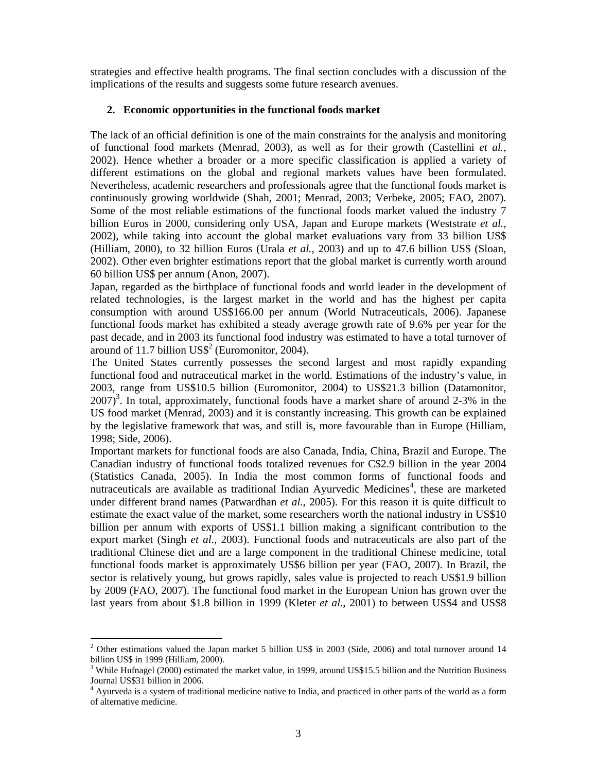strategies and effective health programs. The final section concludes with a discussion of the implications of the results and suggests some future research avenues.

#### **2. Economic opportunities in the functional foods market**

The lack of an official definition is one of the main constraints for the analysis and monitoring of functional food markets (Menrad, 2003), as well as for their growth (Castellini *et al.*, 2002). Hence whether a broader or a more specific classification is applied a variety of different estimations on the global and regional markets values have been formulated. Nevertheless, academic researchers and professionals agree that the functional foods market is continuously growing worldwide (Shah, 2001; Menrad, 2003; Verbeke, 2005; FAO, 2007). Some of the most reliable estimations of the functional foods market valued the industry 7 billion Euros in 2000, considering only USA, Japan and Europe markets (Weststrate *et al.*, 2002), while taking into account the global market evaluations vary from 33 billion US\$ (Hilliam, 2000), to 32 billion Euros (Urala *et al.*, 2003) and up to 47.6 billion US\$ (Sloan, 2002). Other even brighter estimations report that the global market is currently worth around 60 billion US\$ per annum (Anon, 2007).

Japan, regarded as the birthplace of functional foods and world leader in the development of related technologies, is the largest market in the world and has the highest per capita consumption with around US\$166.00 per annum (World Nutraceuticals, 2006). Japanese functional foods market has exhibited a steady average growth rate of 9.6% per year for the past decade, and in 2003 its functional food industry was estimated to have a total turnover of around of 11.7 billion  $USS<sup>2</sup>$  (Euromonitor, 2004).

The United States currently possesses the second largest and most rapidly expanding functional food and nutraceutical market in the world. Estimations of the industry's value, in 2003, range from US\$10.5 billion (Euromonitor, 2004) to US\$21.3 billion (Datamonitor,  $2007$ <sup>3</sup>. In total, approximately, functional foods have a market share of around 2-3% in the US food market (Menrad, 2003) and it is constantly increasing. This growth can be explained by the legislative framework that was, and still is, more favourable than in Europe (Hilliam, 1998; Side, 2006).

Important markets for functional foods are also Canada, India, China, Brazil and Europe. The Canadian industry of functional foods totalized revenues for C\$2.9 billion in the year 2004 (Statistics Canada, 2005). In India the most common forms of functional foods and nutraceuticals are available as traditional Indian Ayurvedic Medicines<sup>4</sup>, these are marketed under different brand names (Patwardhan *et al.*, 2005). For this reason it is quite difficult to estimate the exact value of the market, some researchers worth the national industry in US\$10 billion per annum with exports of US\$1.1 billion making a significant contribution to the export market (Singh *et al.*, 2003). Functional foods and nutraceuticals are also part of the traditional Chinese diet and are a large component in the traditional Chinese medicine, total functional foods market is approximately US\$6 billion per year (FAO, 2007). In Brazil, the sector is relatively young, but grows rapidly, sales value is projected to reach US\$1.9 billion by 2009 (FAO, 2007). The functional food market in the European Union has grown over the last years from about \$1.8 billion in 1999 (Kleter *et al.*, 2001) to between US\$4 and US\$8

 $\overline{a}$ 

<sup>&</sup>lt;sup>2</sup> Other estimations valued the Japan market 5 billion US\$ in 2003 (Side, 2006) and total turnover around 14 billion US\$ in 1999 (Hilliam, 2000).

<sup>&</sup>lt;sup>3</sup> While Hufnagel (2000) estimated the market value, in 1999, around US\$15.5 billion and the Nutrition Business Journal US\$31 billion in 2006.

<sup>&</sup>lt;sup>4</sup> Ayurveda is a system of traditional medicine native to India, and practiced in other parts of the world as a form of alternative medicine.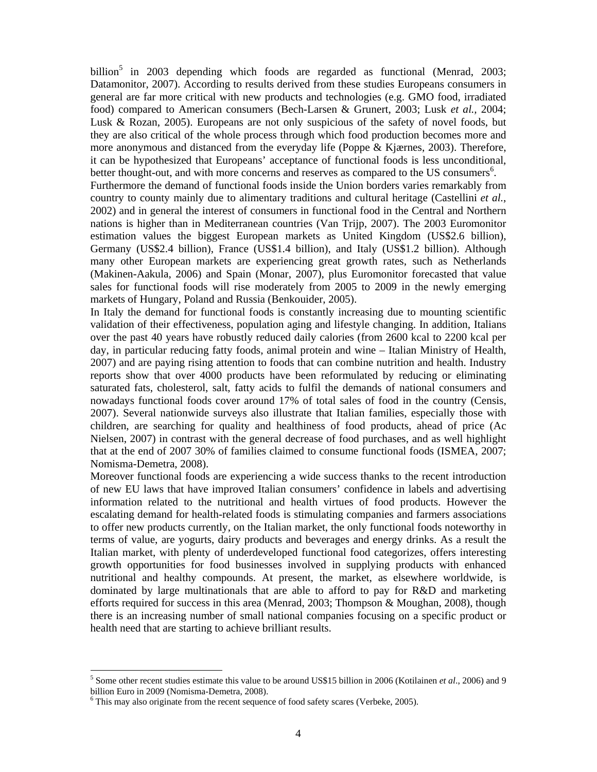billion<sup>5</sup> in 2003 depending which foods are regarded as functional (Menrad, 2003; Datamonitor, 2007). According to results derived from these studies Europeans consumers in general are far more critical with new products and technologies (e.g. GMO food, irradiated food) compared to American consumers (Bech-Larsen & Grunert, 2003; Lusk *et al.,* 2004; Lusk & Rozan, 2005). Europeans are not only suspicious of the safety of novel foods, but they are also critical of the whole process through which food production becomes more and more anonymous and distanced from the everyday life (Poppe & Kjærnes, 2003). Therefore, it can be hypothesized that Europeans' acceptance of functional foods is less unconditional, better thought-out, and with more concerns and reserves as compared to the US consumers<sup>6</sup>.

Furthermore the demand of functional foods inside the Union borders varies remarkably from country to county mainly due to alimentary traditions and cultural heritage (Castellini *et al.*, 2002) and in general the interest of consumers in functional food in the Central and Northern nations is higher than in Mediterranean countries (Van Trijp, 2007). The 2003 Euromonitor estimation values the biggest European markets as United Kingdom (US\$2.6 billion), Germany (US\$2.4 billion), France (US\$1.4 billion), and Italy (US\$1.2 billion). Although many other European markets are experiencing great growth rates, such as Netherlands (Makinen-Aakula, 2006) and Spain (Monar, 2007), plus Euromonitor forecasted that value sales for functional foods will rise moderately from 2005 to 2009 in the newly emerging markets of Hungary, Poland and Russia (Benkouider, 2005).

In Italy the demand for functional foods is constantly increasing due to mounting scientific validation of their effectiveness, population aging and lifestyle changing. In addition, Italians over the past 40 years have robustly reduced daily calories (from 2600 kcal to 2200 kcal per day, in particular reducing fatty foods, animal protein and wine – Italian Ministry of Health, 2007) and are paying rising attention to foods that can combine nutrition and health. Industry reports show that over 4000 products have been reformulated by reducing or eliminating saturated fats, cholesterol, salt, fatty acids to fulfil the demands of national consumers and nowadays functional foods cover around 17% of total sales of food in the country (Censis, 2007). Several nationwide surveys also illustrate that Italian families, especially those with children, are searching for quality and healthiness of food products, ahead of price (Ac Nielsen, 2007) in contrast with the general decrease of food purchases, and as well highlight that at the end of 2007 30% of families claimed to consume functional foods (ISMEA, 2007; Nomisma-Demetra, 2008).

Moreover functional foods are experiencing a wide success thanks to the recent introduction of new EU laws that have improved Italian consumers' confidence in labels and advertising information related to the nutritional and health virtues of food products. However the escalating demand for health-related foods is stimulating companies and farmers associations to offer new products currently, on the Italian market, the only functional foods noteworthy in terms of value, are yogurts, dairy products and beverages and energy drinks. As a result the Italian market, with plenty of underdeveloped functional food categorizes, offers interesting growth opportunities for food businesses involved in supplying products with enhanced nutritional and healthy compounds. At present, the market, as elsewhere worldwide, is dominated by large multinationals that are able to afford to pay for R&D and marketing efforts required for success in this area (Menrad, 2003; Thompson & Moughan, 2008), though there is an increasing number of small national companies focusing on a specific product or health need that are starting to achieve brilliant results.

<sup>5</sup> Some other recent studies estimate this value to be around US\$15 billion in 2006 (Kotilainen *et al*., 2006) and 9 billion Euro in 2009 (Nomisma-Demetra, 2008).

<sup>&</sup>lt;sup>6</sup> This may also originate from the recent sequence of food safety scares (Verbeke, 2005).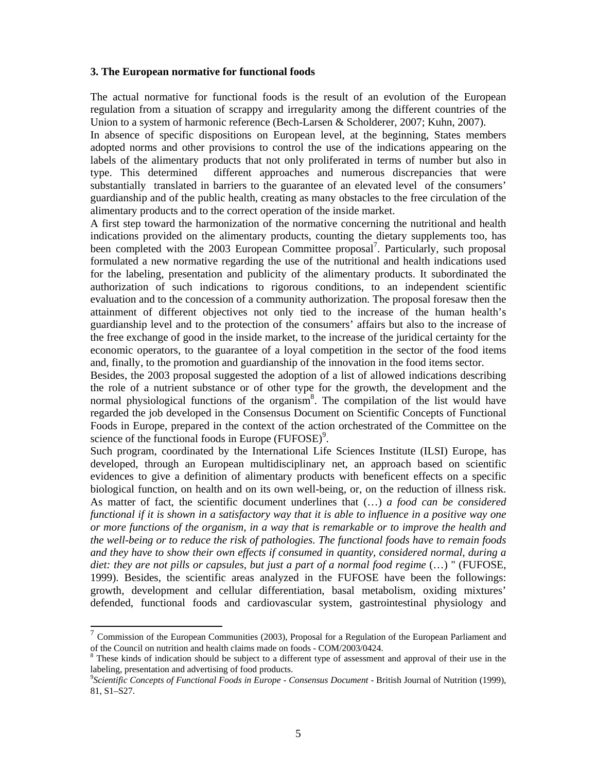#### **3. The European normative for functional foods**

The actual normative for functional foods is the result of an evolution of the European regulation from a situation of scrappy and irregularity among the different countries of the Union to a system of harmonic reference (Bech-Larsen & Scholderer, 2007; Kuhn, 2007).

In absence of specific dispositions on European level, at the beginning, States members adopted norms and other provisions to control the use of the indications appearing on the labels of the alimentary products that not only proliferated in terms of number but also in type. This determined different approaches and numerous discrepancies that were substantially translated in barriers to the guarantee of an elevated level of the consumers' guardianship and of the public health, creating as many obstacles to the free circulation of the alimentary products and to the correct operation of the inside market.

A first step toward the harmonization of the normative concerning the nutritional and health indications provided on the alimentary products, counting the dietary supplements too, has been completed with the 2003 European Committee proposal<sup>7</sup>. Particularly, such proposal formulated a new normative regarding the use of the nutritional and health indications used for the labeling, presentation and publicity of the alimentary products. It subordinated the authorization of such indications to rigorous conditions, to an independent scientific evaluation and to the concession of a community authorization. The proposal foresaw then the attainment of different objectives not only tied to the increase of the human health's guardianship level and to the protection of the consumers' affairs but also to the increase of the free exchange of good in the inside market, to the increase of the juridical certainty for the economic operators, to the guarantee of a loyal competition in the sector of the food items and, finally, to the promotion and guardianship of the innovation in the food items sector.

Besides, the 2003 proposal suggested the adoption of a list of allowed indications describing the role of a nutrient substance or of other type for the growth, the development and the normal physiological functions of the organism<sup>8</sup>. The compilation of the list would have regarded the job developed in the Consensus Document on Scientific Concepts of Functional Foods in Europe, prepared in the context of the action orchestrated of the Committee on the science of the functional foods in Europe  $(FUFOSE)^9$ .

Such program, coordinated by the International Life Sciences Institute (ILSI) Europe, has developed, through an European multidisciplinary net, an approach based on scientific evidences to give a definition of alimentary products with beneficent effects on a specific biological function, on health and on its own well-being, or, on the reduction of illness risk. As matter of fact, the scientific document underlines that (…) *a food can be considered functional if it is shown in a satisfactory way that it is able to influence in a positive way one or more functions of the organism, in a way that is remarkable or to improve the health and the well-being or to reduce the risk of pathologies. The functional foods have to remain foods and they have to show their own effects if consumed in quantity, considered normal, during a diet: they are not pills or capsules, but just a part of a normal food regime* (…) " (FUFOSE, 1999). Besides, the scientific areas analyzed in the FUFOSE have been the followings: growth, development and cellular differentiation, basal metabolism, oxiding mixtures' defended, functional foods and cardiovascular system, gastrointestinal physiology and

 $7$  Commission of the European Communities (2003), Proposal for a Regulation of the European Parliament and of the Council on nutrition and health claims made on foods - COM/2003/0424.

<sup>&</sup>lt;sup>8</sup> These kinds of indication should be subject to a different type of assessment and approval of their use in the labeling, presentation and advertising of food products.

<sup>&</sup>lt;sup>9</sup> Scientific Concepts of Functional Foods in Europe - Consensus Document - British Journal of Nutrition (1999), 81, S1–S27.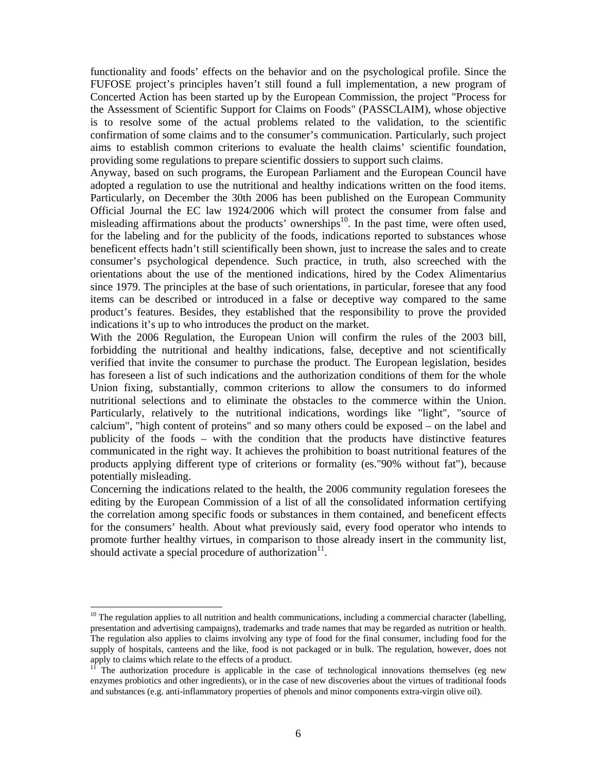functionality and foods' effects on the behavior and on the psychological profile. Since the FUFOSE project's principles haven't still found a full implementation, a new program of Concerted Action has been started up by the European Commission, the project "Process for the Assessment of Scientific Support for Claims on Foods" (PASSCLAIM), whose objective is to resolve some of the actual problems related to the validation, to the scientific confirmation of some claims and to the consumer's communication. Particularly, such project aims to establish common criterions to evaluate the health claims' scientific foundation, providing some regulations to prepare scientific dossiers to support such claims.

Anyway, based on such programs, the European Parliament and the European Council have adopted a regulation to use the nutritional and healthy indications written on the food items. Particularly, on December the 30th 2006 has been published on the European Community Official Journal the EC law 1924/2006 which will protect the consumer from false and misleading affirmations about the products' ownerships<sup>10</sup>. In the past time, were often used, for the labeling and for the publicity of the foods, indications reported to substances whose beneficent effects hadn't still scientifically been shown, just to increase the sales and to create consumer's psychological dependence. Such practice, in truth, also screeched with the orientations about the use of the mentioned indications, hired by the Codex Alimentarius since 1979. The principles at the base of such orientations, in particular, foresee that any food items can be described or introduced in a false or deceptive way compared to the same product's features. Besides, they established that the responsibility to prove the provided indications it's up to who introduces the product on the market.

With the 2006 Regulation, the European Union will confirm the rules of the 2003 bill, forbidding the nutritional and healthy indications, false, deceptive and not scientifically verified that invite the consumer to purchase the product. The European legislation, besides has foreseen a list of such indications and the authorization conditions of them for the whole Union fixing, substantially, common criterions to allow the consumers to do informed nutritional selections and to eliminate the obstacles to the commerce within the Union. Particularly, relatively to the nutritional indications, wordings like "light", "source of calcium", "high content of proteins" and so many others could be exposed – on the label and publicity of the foods – with the condition that the products have distinctive features communicated in the right way. It achieves the prohibition to boast nutritional features of the products applying different type of criterions or formality (es."90% without fat"), because potentially misleading.

Concerning the indications related to the health, the 2006 community regulation foresees the editing by the European Commission of a list of all the consolidated information certifying the correlation among specific foods or substances in them contained, and beneficent effects for the consumers' health. About what previously said, every food operator who intends to promote further healthy virtues, in comparison to those already insert in the community list, should activate a special procedure of authorization $11$ .

 $10$  The regulation applies to all nutrition and health communications, including a commercial character (labelling, presentation and advertising campaigns), trademarks and trade names that may be regarded as nutrition or health. The regulation also applies to claims involving any type of food for the final consumer, including food for the supply of hospitals, canteens and the like, food is not packaged or in bulk. The regulation, however, does not apply to claims which relate to the effects of a product.

The authorization procedure is applicable in the case of technological innovations themselves (eg new enzymes probiotics and other ingredients), or in the case of new discoveries about the virtues of traditional foods and substances (e.g. anti-inflammatory properties of phenols and minor components extra-virgin olive oil).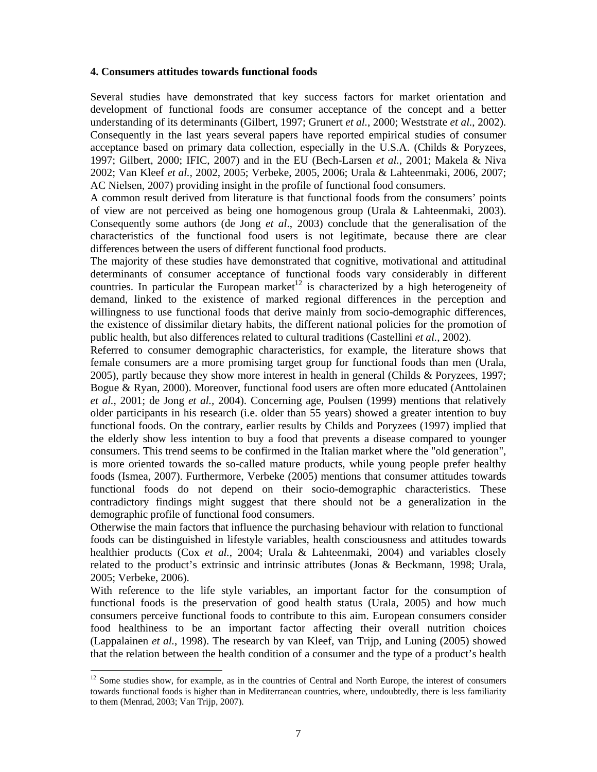### **4. Consumers attitudes towards functional foods**

Several studies have demonstrated that key success factors for market orientation and development of functional foods are consumer acceptance of the concept and a better understanding of its determinants (Gilbert, 1997; Grunert *et al.*, 2000; Weststrate *et al.*, 2002). Consequently in the last years several papers have reported empirical studies of consumer acceptance based on primary data collection, especially in the U.S.A. (Childs & Poryzees, 1997; Gilbert, 2000; IFIC, 2007) and in the EU (Bech-Larsen *et al.*, 2001; Makela & Niva 2002; Van Kleef *et al.,* 2002, 2005; Verbeke, 2005, 2006; Urala & Lahteenmaki, 2006, 2007; AC Nielsen, 2007) providing insight in the profile of functional food consumers.

A common result derived from literature is that functional foods from the consumers' points of view are not perceived as being one homogenous group (Urala & Lahteenmaki, 2003). Consequently some authors (de Jong *et al*., 2003) conclude that the generalisation of the characteristics of the functional food users is not legitimate, because there are clear differences between the users of different functional food products.

The majority of these studies have demonstrated that cognitive, motivational and attitudinal determinants of consumer acceptance of functional foods vary considerably in different countries. In particular the European market<sup>12</sup> is characterized by a high heterogeneity of demand, linked to the existence of marked regional differences in the perception and willingness to use functional foods that derive mainly from socio-demographic differences, the existence of dissimilar dietary habits, the different national policies for the promotion of public health, but also differences related to cultural traditions (Castellini *et al.*, 2002).

Referred to consumer demographic characteristics, for example, the literature shows that female consumers are a more promising target group for functional foods than men (Urala, 2005), partly because they show more interest in health in general (Childs & Poryzees, 1997; Bogue & Ryan, 2000). Moreover, functional food users are often more educated (Anttolainen *et al.,* 2001; de Jong *et al.,* 2004). Concerning age, Poulsen (1999) mentions that relatively older participants in his research (i.e. older than 55 years) showed a greater intention to buy functional foods. On the contrary, earlier results by Childs and Poryzees (1997) implied that the elderly show less intention to buy a food that prevents a disease compared to younger consumers. This trend seems to be confirmed in the Italian market where the "old generation", is more oriented towards the so-called mature products, while young people prefer healthy foods (Ismea, 2007). Furthermore, Verbeke (2005) mentions that consumer attitudes towards functional foods do not depend on their socio-demographic characteristics. These contradictory findings might suggest that there should not be a generalization in the demographic profile of functional food consumers.

Otherwise the main factors that influence the purchasing behaviour with relation to functional foods can be distinguished in lifestyle variables, health consciousness and attitudes towards healthier products (Cox *et al.*, 2004; Urala & Lahteenmaki, 2004) and variables closely related to the product's extrinsic and intrinsic attributes (Jonas & Beckmann, 1998; Urala, 2005; Verbeke, 2006).

With reference to the life style variables, an important factor for the consumption of functional foods is the preservation of good health status (Urala, 2005) and how much consumers perceive functional foods to contribute to this aim. European consumers consider food healthiness to be an important factor affecting their overall nutrition choices (Lappalainen *et al.*, 1998). The research by van Kleef, van Trijp, and Luning (2005) showed that the relation between the health condition of a consumer and the type of a product's health

<sup>&</sup>lt;sup>12</sup> Some studies show, for example, as in the countries of Central and North Europe, the interest of consumers towards functional foods is higher than in Mediterranean countries, where, undoubtedly, there is less familiarity to them (Menrad, 2003; Van Trijp, 2007).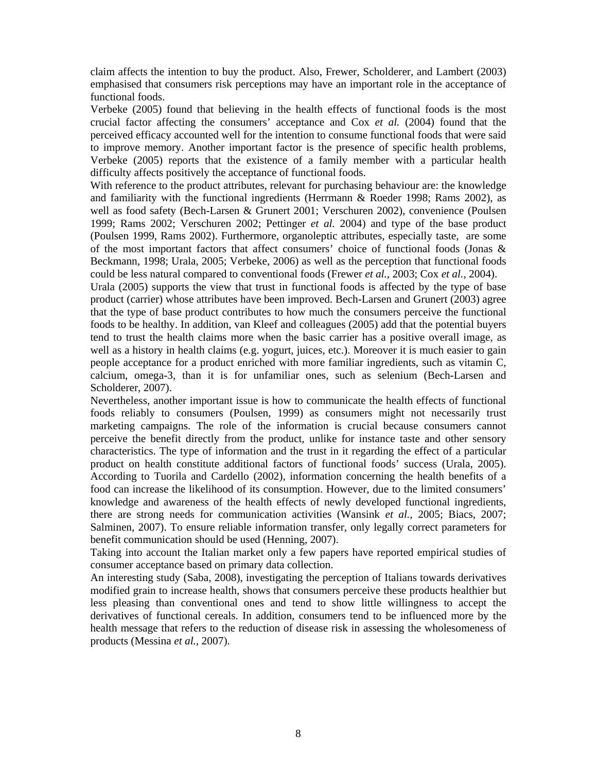claim affects the intention to buy the product. Also, Frewer, Scholderer, and Lambert (2003) emphasised that consumers risk perceptions may have an important role in the acceptance of functional foods.

Verbeke (2005) found that believing in the health effects of functional foods is the most crucial factor affecting the consumers' acceptance and Cox *et al.* (2004) found that the perceived efficacy accounted well for the intention to consume functional foods that were said to improve memory. Another important factor is the presence of specific health problems, Verbeke (2005) reports that the existence of a family member with a particular health difficulty affects positively the acceptance of functional foods.

With reference to the product attributes, relevant for purchasing behaviour are: the knowledge and familiarity with the functional ingredients (Herrmann & Roeder 1998; Rams 2002), as well as food safety (Bech-Larsen & Grunert 2001; Verschuren 2002), convenience (Poulsen 1999; Rams 2002; Verschuren 2002; Pettinger *et al.* 2004) and type of the base product (Poulsen 1999, Rams 2002). Furthermore, organoleptic attributes, especially taste, are some of the most important factors that affect consumers' choice of functional foods (Jonas & Beckmann, 1998; Urala, 2005; Verbeke, 2006) as well as the perception that functional foods could be less natural compared to conventional foods (Frewer *et al.,* 2003; Cox *et al.,* 2004).

Urala (2005) supports the view that trust in functional foods is affected by the type of base product (carrier) whose attributes have been improved. Bech-Larsen and Grunert (2003) agree that the type of base product contributes to how much the consumers perceive the functional foods to be healthy. In addition, van Kleef and colleagues (2005) add that the potential buyers tend to trust the health claims more when the basic carrier has a positive overall image, as well as a history in health claims (e.g. yogurt, juices, etc.). Moreover it is much easier to gain people acceptance for a product enriched with more familiar ingredients, such as vitamin C, calcium, omega-3, than it is for unfamiliar ones, such as selenium (Bech-Larsen and Scholderer, 2007).

Nevertheless, another important issue is how to communicate the health effects of functional foods reliably to consumers (Poulsen, 1999) as consumers might not necessarily trust marketing campaigns. The role of the information is crucial because consumers cannot perceive the benefit directly from the product, unlike for instance taste and other sensory characteristics. The type of information and the trust in it regarding the effect of a particular product on health constitute additional factors of functional foods' success (Urala, 2005). According to Tuorila and Cardello (2002), information concerning the health benefits of a food can increase the likelihood of its consumption. However, due to the limited consumers' knowledge and awareness of the health effects of newly developed functional ingredients, there are strong needs for communication activities (Wansink *et al.,* 2005; Biacs, 2007; Salminen, 2007). To ensure reliable information transfer, only legally correct parameters for benefit communication should be used (Henning, 2007).

Taking into account the Italian market only a few papers have reported empirical studies of consumer acceptance based on primary data collection.

An interesting study (Saba, 2008), investigating the perception of Italians towards derivatives modified grain to increase health, shows that consumers perceive these products healthier but less pleasing than conventional ones and tend to show little willingness to accept the derivatives of functional cereals. In addition, consumers tend to be influenced more by the health message that refers to the reduction of disease risk in assessing the wholesomeness of products (Messina *et al.,* 2007).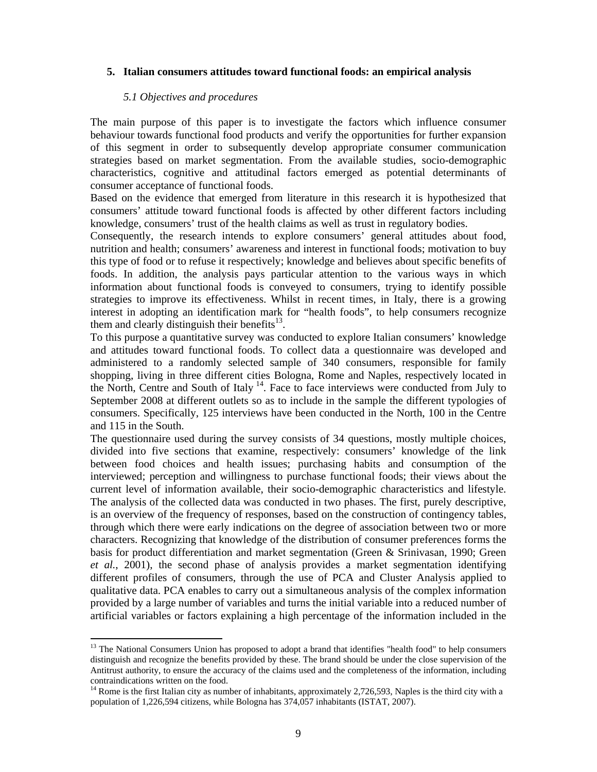#### **5. Italian consumers attitudes toward functional foods: an empirical analysis**

#### *5.1 Objectives and procedures*

 $\overline{a}$ 

The main purpose of this paper is to investigate the factors which influence consumer behaviour towards functional food products and verify the opportunities for further expansion of this segment in order to subsequently develop appropriate consumer communication strategies based on market segmentation. From the available studies, socio-demographic characteristics, cognitive and attitudinal factors emerged as potential determinants of consumer acceptance of functional foods.

Based on the evidence that emerged from literature in this research it is hypothesized that consumers' attitude toward functional foods is affected by other different factors including knowledge, consumers' trust of the health claims as well as trust in regulatory bodies.

Consequently, the research intends to explore consumers' general attitudes about food, nutrition and health; consumers' awareness and interest in functional foods; motivation to buy this type of food or to refuse it respectively; knowledge and believes about specific benefits of foods. In addition, the analysis pays particular attention to the various ways in which information about functional foods is conveyed to consumers, trying to identify possible strategies to improve its effectiveness. Whilst in recent times, in Italy, there is a growing interest in adopting an identification mark for "health foods", to help consumers recognize them and clearly distinguish their benefits $^{13}$ .

To this purpose a quantitative survey was conducted to explore Italian consumers' knowledge and attitudes toward functional foods. To collect data a questionnaire was developed and administered to a randomly selected sample of 340 consumers, responsible for family shopping, living in three different cities Bologna, Rome and Naples, respectively located in the North, Centre and South of Italy <sup>14</sup>. Face to face interviews were conducted from July to September 2008 at different outlets so as to include in the sample the different typologies of consumers. Specifically, 125 interviews have been conducted in the North, 100 in the Centre and 115 in the South.

The questionnaire used during the survey consists of 34 questions, mostly multiple choices, divided into five sections that examine, respectively: consumers' knowledge of the link between food choices and health issues; purchasing habits and consumption of the interviewed; perception and willingness to purchase functional foods; their views about the current level of information available, their socio-demographic characteristics and lifestyle. The analysis of the collected data was conducted in two phases. The first, purely descriptive, is an overview of the frequency of responses, based on the construction of contingency tables, through which there were early indications on the degree of association between two or more characters. Recognizing that knowledge of the distribution of consumer preferences forms the basis for product differentiation and market segmentation (Green & Srinivasan, 1990; Green *et al.*, 2001), the second phase of analysis provides a market segmentation identifying different profiles of consumers, through the use of PCA and Cluster Analysis applied to qualitative data. PCA enables to carry out a simultaneous analysis of the complex information provided by a large number of variables and turns the initial variable into a reduced number of artificial variables or factors explaining a high percentage of the information included in the

<sup>&</sup>lt;sup>13</sup> The National Consumers Union has proposed to adopt a brand that identifies "health food" to help consumers distinguish and recognize the benefits provided by these. The brand should be under the close supervision of the Antitrust authority, to ensure the accuracy of the claims used and the completeness of the information, including contraindications written on the food.

 $14$  Rome is the first Italian city as number of inhabitants, approximately 2,726,593, Naples is the third city with a population of 1,226,594 citizens, while Bologna has 374,057 inhabitants (ISTAT, 2007).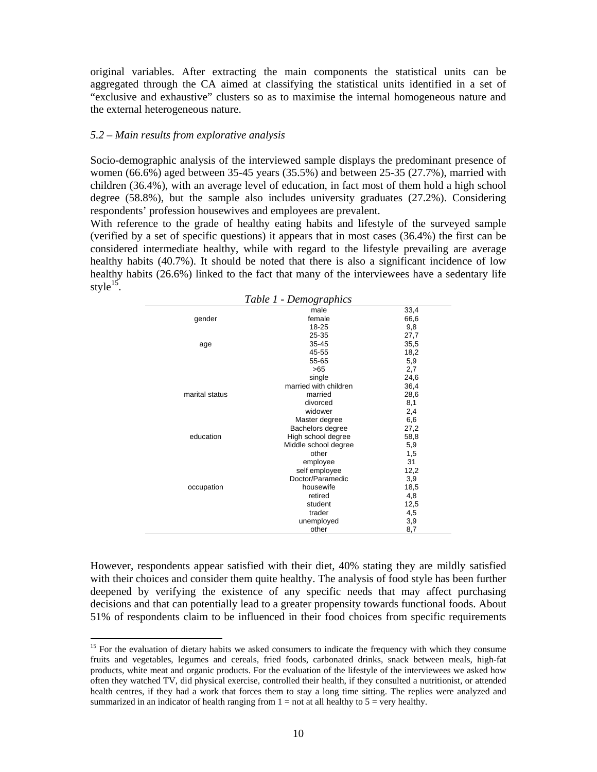original variables. After extracting the main components the statistical units can be aggregated through the CA aimed at classifying the statistical units identified in a set of "exclusive and exhaustive" clusters so as to maximise the internal homogeneous nature and the external heterogeneous nature.

#### *5.2 – Main results from explorative analysis*

 $\overline{a}$ 

Socio-demographic analysis of the interviewed sample displays the predominant presence of women (66.6%) aged between 35-45 years (35.5%) and between 25-35 (27.7%), married with children (36.4%), with an average level of education, in fact most of them hold a high school degree (58.8%), but the sample also includes university graduates (27.2%). Considering respondents' profession housewives and employees are prevalent.

With reference to the grade of healthy eating habits and lifestyle of the surveyed sample (verified by a set of specific questions) it appears that in most cases (36.4%) the first can be considered intermediate healthy, while with regard to the lifestyle prevailing are average healthy habits (40.7%). It should be noted that there is also a significant incidence of low healthy habits (26.6%) linked to the fact that many of the interviewees have a sedentary life style $^{15}$ .

|                | 1 UU VU 1 | $D$ <i>chio</i> $\lambda$ <i>'upitics</i> |      |
|----------------|-----------|-------------------------------------------|------|
|                |           | male                                      | 33,4 |
| gender         |           | female                                    | 66,6 |
|                |           | 18-25                                     | 9,8  |
|                |           | 25-35                                     | 27,7 |
| age            |           | 35-45                                     | 35,5 |
|                |           | 45-55                                     | 18,2 |
|                |           | 55-65                                     | 5,9  |
|                |           | >65                                       | 2,7  |
|                |           | single                                    | 24,6 |
|                |           | married with children                     | 36,4 |
| marital status |           | married                                   | 28,6 |
|                |           | divorced                                  | 8,1  |
|                |           | widower                                   | 2,4  |
|                |           | Master degree                             | 6,6  |
|                |           | Bachelors degree                          | 27,2 |
| education      |           | High school degree                        | 58,8 |
|                |           | Middle school degree                      | 5,9  |
|                |           | other                                     | 1,5  |
|                |           | employee                                  | 31   |
|                |           | self employee                             | 12,2 |
|                |           | Doctor/Paramedic                          | 3,9  |
| occupation     |           | housewife                                 | 18,5 |
|                |           | retired                                   | 4,8  |
|                |           | student                                   | 12,5 |
|                |           | trader                                    | 4,5  |
|                |           | unemployed                                | 3,9  |
|                |           | other                                     | 8,7  |
|                |           |                                           |      |

*Table 1 - Demographics* 

However, respondents appear satisfied with their diet, 40% stating they are mildly satisfied with their choices and consider them quite healthy. The analysis of food style has been further deepened by verifying the existence of any specific needs that may affect purchasing decisions and that can potentially lead to a greater propensity towards functional foods. About 51% of respondents claim to be influenced in their food choices from specific requirements

<sup>&</sup>lt;sup>15</sup> For the evaluation of dietary habits we asked consumers to indicate the frequency with which they consume fruits and vegetables, legumes and cereals, fried foods, carbonated drinks, snack between meals, high-fat products, white meat and organic products. For the evaluation of the lifestyle of the interviewees we asked how often they watched TV, did physical exercise, controlled their health, if they consulted a nutritionist, or attended health centres, if they had a work that forces them to stay a long time sitting. The replies were analyzed and summarized in an indicator of health ranging from  $1 =$  not at all healthy to  $5 =$  very healthy.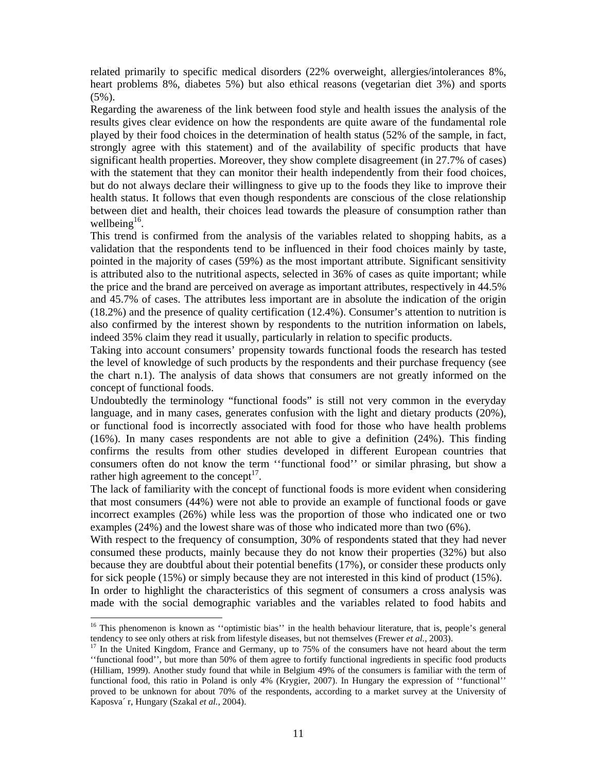related primarily to specific medical disorders (22% overweight, allergies/intolerances 8%, heart problems 8%, diabetes 5%) but also ethical reasons (vegetarian diet 3%) and sports (5%).

Regarding the awareness of the link between food style and health issues the analysis of the results gives clear evidence on how the respondents are quite aware of the fundamental role played by their food choices in the determination of health status (52% of the sample, in fact, strongly agree with this statement) and of the availability of specific products that have significant health properties. Moreover, they show complete disagreement (in 27.7% of cases) with the statement that they can monitor their health independently from their food choices, but do not always declare their willingness to give up to the foods they like to improve their health status. It follows that even though respondents are conscious of the close relationship between diet and health, their choices lead towards the pleasure of consumption rather than wellbeing<sup>16</sup>.

This trend is confirmed from the analysis of the variables related to shopping habits, as a validation that the respondents tend to be influenced in their food choices mainly by taste, pointed in the majority of cases (59%) as the most important attribute. Significant sensitivity is attributed also to the nutritional aspects, selected in 36% of cases as quite important; while the price and the brand are perceived on average as important attributes, respectively in 44.5% and 45.7% of cases. The attributes less important are in absolute the indication of the origin (18.2%) and the presence of quality certification (12.4%). Consumer's attention to nutrition is also confirmed by the interest shown by respondents to the nutrition information on labels, indeed 35% claim they read it usually, particularly in relation to specific products.

Taking into account consumers' propensity towards functional foods the research has tested the level of knowledge of such products by the respondents and their purchase frequency (see the chart n.1). The analysis of data shows that consumers are not greatly informed on the concept of functional foods.

Undoubtedly the terminology "functional foods" is still not very common in the everyday language, and in many cases, generates confusion with the light and dietary products (20%), or functional food is incorrectly associated with food for those who have health problems (16%). In many cases respondents are not able to give a definition (24%). This finding confirms the results from other studies developed in different European countries that consumers often do not know the term ''functional food'' or similar phrasing, but show a rather high agreement to the concept<sup>17</sup>.

The lack of familiarity with the concept of functional foods is more evident when considering that most consumers (44%) were not able to provide an example of functional foods or gave incorrect examples (26%) while less was the proportion of those who indicated one or two examples (24%) and the lowest share was of those who indicated more than two (6%).

With respect to the frequency of consumption, 30% of respondents stated that they had never consumed these products, mainly because they do not know their properties (32%) but also because they are doubtful about their potential benefits (17%), or consider these products only for sick people (15%) or simply because they are not interested in this kind of product (15%). In order to highlight the characteristics of this segment of consumers a cross analysis was

made with the social demographic variables and the variables related to food habits and  $\overline{\phantom{a}}$ 

<sup>&</sup>lt;sup>16</sup> This phenomenon is known as "optimistic bias" in the health behaviour literature, that is, people's general tendency to see only others at risk from lifestyle diseases, but not themselves (Frewer *et al.*, 2003).<br><sup>17</sup> In the United Kingdom, France and Germany, up to 75% of the consumers have not heard about the term

<sup>&#</sup>x27;'functional food'', but more than 50% of them agree to fortify functional ingredients in specific food products (Hilliam, 1999). Another study found that while in Belgium 49% of the consumers is familiar with the term of functional food, this ratio in Poland is only 4% (Krygier, 2007). In Hungary the expression of ''functional'' proved to be unknown for about 70% of the respondents, according to a market survey at the University of Kaposva´ r, Hungary (Szakal *et al.,* 2004).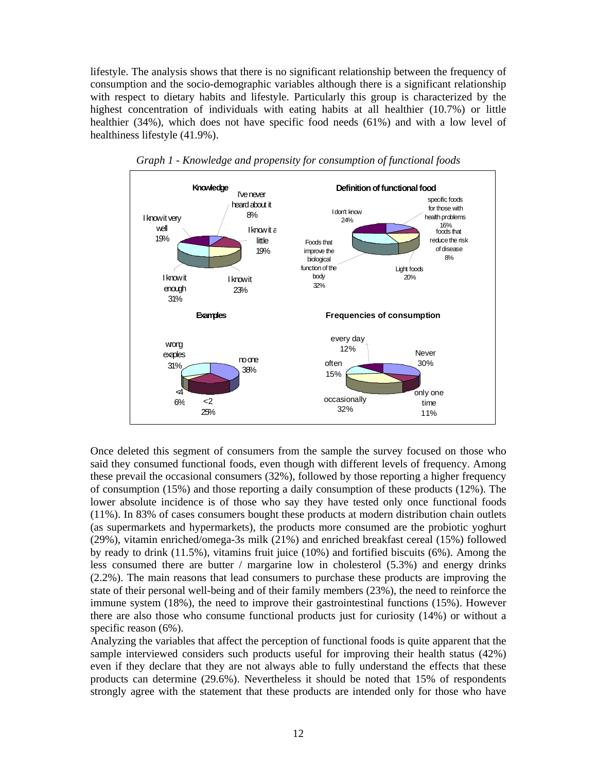lifestyle. The analysis shows that there is no significant relationship between the frequency of consumption and the socio-demographic variables although there is a significant relationship with respect to dietary habits and lifestyle. Particularly this group is characterized by the highest concentration of individuals with eating habits at all healthier (10.7%) or little healthier (34%), which does not have specific food needs (61%) and with a low level of healthiness lifestyle (41.9%).



*Graph 1 - Knowledge and propensity for consumption of functional foods* 

Once deleted this segment of consumers from the sample the survey focused on those who said they consumed functional foods, even though with different levels of frequency. Among these prevail the occasional consumers (32%), followed by those reporting a higher frequency of consumption (15%) and those reporting a daily consumption of these products (12%). The lower absolute incidence is of those who say they have tested only once functional foods (11%). In 83% of cases consumers bought these products at modern distribution chain outlets (as supermarkets and hypermarkets), the products more consumed are the probiotic yoghurt (29%), vitamin enriched/omega-3s milk (21%) and enriched breakfast cereal (15%) followed by ready to drink (11.5%), vitamins fruit juice (10%) and fortified biscuits (6%). Among the less consumed there are butter / margarine low in cholesterol (5.3%) and energy drinks (2.2%). The main reasons that lead consumers to purchase these products are improving the state of their personal well-being and of their family members (23%), the need to reinforce the immune system (18%), the need to improve their gastrointestinal functions (15%). However there are also those who consume functional products just for curiosity (14%) or without a specific reason (6%).

Analyzing the variables that affect the perception of functional foods is quite apparent that the sample interviewed considers such products useful for improving their health status (42%) even if they declare that they are not always able to fully understand the effects that these products can determine (29.6%). Nevertheless it should be noted that 15% of respondents strongly agree with the statement that these products are intended only for those who have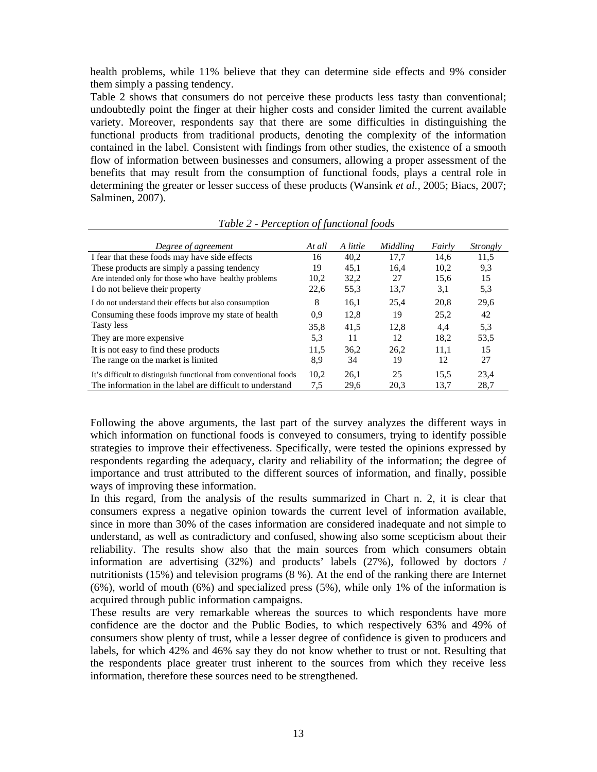health problems, while 11% believe that they can determine side effects and 9% consider them simply a passing tendency.

Table 2 shows that consumers do not perceive these products less tasty than conventional; undoubtedly point the finger at their higher costs and consider limited the current available variety. Moreover, respondents say that there are some difficulties in distinguishing the functional products from traditional products, denoting the complexity of the information contained in the label. Consistent with findings from other studies, the existence of a smooth flow of information between businesses and consumers, allowing a proper assessment of the benefits that may result from the consumption of functional foods, plays a central role in determining the greater or lesser success of these products (Wansink *et al.,* 2005; Biacs, 2007; Salminen, 2007).

| Degree of agreement                                              | At all | A little | Middling | Fairly | <i>Strongly</i> |
|------------------------------------------------------------------|--------|----------|----------|--------|-----------------|
| I fear that these foods may have side effects                    | 16     | 40,2     | 17.7     | 14,6   | 11,5            |
| These products are simply a passing tendency                     | 19     | 45.1     | 16.4     | 10.2   | 9,3             |
| Are intended only for those who have healthy problems            | 10,2   | 32,2     | 27       | 15,6   | 15              |
| I do not believe their property                                  | 22,6   | 55,3     | 13,7     | 3,1    | 5,3             |
| I do not understand their effects but also consumption           | 8      | 16.1     | 25,4     | 20,8   | 29,6            |
| Consuming these foods improve my state of health                 | 0.9    | 12,8     | 19       | 25.2   | 42              |
| Tasty less                                                       | 35.8   | 41.5     | 12.8     | 4.4    | 5.3             |
| They are more expensive                                          | 5.3    | 11       | 12       | 18,2   | 53.5            |
| It is not easy to find these products                            | 11.5   | 36.2     | 26.2     | 11.1   | 15              |
| The range on the market is limited.                              | 8,9    | 34       | 19       | 12     | 27              |
| It's difficult to distinguish functional from conventional foods | 10,2   | 26.1     | 25       | 15.5   | 23.4            |
| The information in the label are difficult to understand         | 7.5    | 29.6     | 20.3     | 13.7   | 28.7            |

*Table 2 - Perception of functional foods* 

Following the above arguments, the last part of the survey analyzes the different ways in which information on functional foods is conveyed to consumers, trying to identify possible strategies to improve their effectiveness. Specifically, were tested the opinions expressed by respondents regarding the adequacy, clarity and reliability of the information; the degree of importance and trust attributed to the different sources of information, and finally, possible ways of improving these information.

In this regard, from the analysis of the results summarized in Chart n. 2, it is clear that consumers express a negative opinion towards the current level of information available, since in more than 30% of the cases information are considered inadequate and not simple to understand, as well as contradictory and confused, showing also some scepticism about their reliability. The results show also that the main sources from which consumers obtain information are advertising (32%) and products' labels (27%), followed by doctors / nutritionists (15%) and television programs (8 %). At the end of the ranking there are Internet (6%), world of mouth (6%) and specialized press (5%), while only 1% of the information is acquired through public information campaigns.

These results are very remarkable whereas the sources to which respondents have more confidence are the doctor and the Public Bodies, to which respectively 63% and 49% of consumers show plenty of trust, while a lesser degree of confidence is given to producers and labels, for which 42% and 46% say they do not know whether to trust or not. Resulting that the respondents place greater trust inherent to the sources from which they receive less information, therefore these sources need to be strengthened.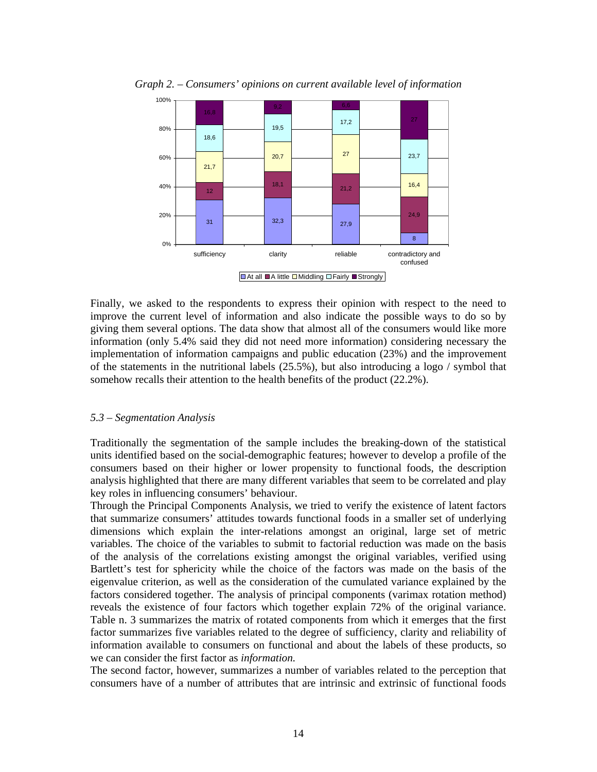

*Graph 2. – Consumers' opinions on current available level of information* 

 $\Box$  At all  $\Box$  A little  $\Box$  Middling  $\Box$  Fairly  $\Box$  Strongly

Finally, we asked to the respondents to express their opinion with respect to the need to improve the current level of information and also indicate the possible ways to do so by giving them several options. The data show that almost all of the consumers would like more information (only 5.4% said they did not need more information) considering necessary the implementation of information campaigns and public education (23%) and the improvement of the statements in the nutritional labels  $(25.5\%)$ , but also introducing a logo / symbol that somehow recalls their attention to the health benefits of the product (22.2%).

#### *5.3 – Segmentation Analysis*

Traditionally the segmentation of the sample includes the breaking-down of the statistical units identified based on the social-demographic features; however to develop a profile of the consumers based on their higher or lower propensity to functional foods, the description analysis highlighted that there are many different variables that seem to be correlated and play key roles in influencing consumers' behaviour.

Through the Principal Components Analysis, we tried to verify the existence of latent factors that summarize consumers' attitudes towards functional foods in a smaller set of underlying dimensions which explain the inter-relations amongst an original, large set of metric variables. The choice of the variables to submit to factorial reduction was made on the basis of the analysis of the correlations existing amongst the original variables, verified using Bartlett's test for sphericity while the choice of the factors was made on the basis of the eigenvalue criterion, as well as the consideration of the cumulated variance explained by the factors considered together. The analysis of principal components (varimax rotation method) reveals the existence of four factors which together explain 72% of the original variance. Table n. 3 summarizes the matrix of rotated components from which it emerges that the first factor summarizes five variables related to the degree of sufficiency, clarity and reliability of information available to consumers on functional and about the labels of these products, so we can consider the first factor as *information.*

The second factor, however, summarizes a number of variables related to the perception that consumers have of a number of attributes that are intrinsic and extrinsic of functional foods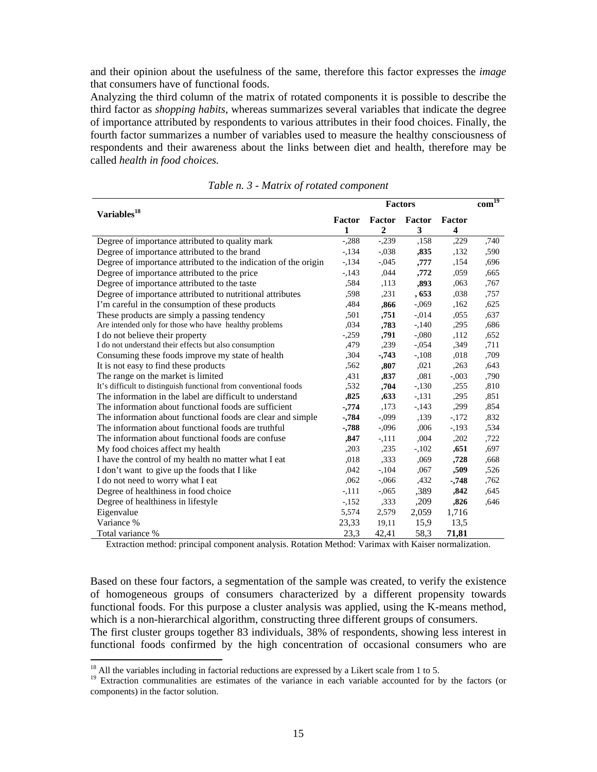and their opinion about the usefulness of the same, therefore this factor expresses the *image*  that consumers have of functional foods.

Analyzing the third column of the matrix of rotated components it is possible to describe the third factor as *shopping habits*, whereas summarizes several variables that indicate the degree of importance attributed by respondents to various attributes in their food choices. Finally, the fourth factor summarizes a number of variables used to measure the healthy consciousness of respondents and their awareness about the links between diet and health, therefore may be called *health in food choices.* 

|                                                                  |          | <b>Factors</b> |               |         | $com^{\overline{19}}$ |
|------------------------------------------------------------------|----------|----------------|---------------|---------|-----------------------|
| Variables <sup>18</sup>                                          | Factor   | Factor         | <b>Factor</b> | Factor  |                       |
|                                                                  | 1        | $\overline{2}$ | 3             | 4       |                       |
| Degree of importance attributed to quality mark                  | $-.288$  | $-.239$        | ,158          | ,229    | ,740                  |
| Degree of importance attributed to the brand                     | $-134$   | $-.038$        | ,835          | ,132    | ,590                  |
| Degree of importance attributed to the indication of the origin  | $-.134$  | $-.045$        | ,777          | ,154    | ,696                  |
| Degree of importance attributed to the price                     | $-143$   | ,044           | ,772          | ,059    | ,665                  |
| Degree of importance attributed to the taste                     | .584     | ,113           | ,893          | ,063    | ,767                  |
| Degree of importance attributed to nutritional attributes        | .598     | ,231           | , 653         | ,038    | ,757                  |
| I'm careful in the consumption of these products                 | ,484     | ,866           | $-0.069$      | ,162    | ,625                  |
| These products are simply a passing tendency                     | ,501     | ,751           | $-0.014$      | ,055    | ,637                  |
| Are intended only for those who have healthy problems            | ,034     | ,783           | $-140$        | ,295    | ,686                  |
| I do not believe their property                                  | $-.259$  | ,791           | $-.080$       | ,112    | ,652                  |
| I do not understand their effects but also consumption           | ,479     | ,239           | $-.054$       | ,349    | ,711                  |
| Consuming these foods improve my state of health                 | ,304     | $-743$         | $-.108$       | ,018    | ,709                  |
| It is not easy to find these products                            | ,562     | ,807           | ,021          | ,263    | ,643                  |
| The range on the market is limited                               | ,431     | ,837           | ,081          | $-.003$ | ,790                  |
| It's difficult to distinguish functional from conventional foods | ,532     | ,704           | $-.130$       | ,255    | ,810                  |
| The information in the label are difficult to understand         | ,825     | ,633           | $-131$        | ,295    | ,851                  |
| The information about functional foods are sufficient            | $-0.774$ | ,173           | $-143$        | ,299    | ,854                  |
| The information about functional foods are clear and simple      | $-784$   | $-0.099$       | ,139          | $-172$  | ,832                  |
| The information about functional foods are truthful              | $-788$   | $-.096$        | ,006          | $-193$  | ,534                  |
| The information about functional foods are confuse               | ,847     | $-.111$        | ,004          | ,202    | ,722                  |
| My food choices affect my health                                 | ,203     | ,235           | $-102$        | ,651    | ,697                  |
| I have the control of my health no matter what I eat             | ,018     | ,333           | ,069          | ,728    | ,668                  |
| I don't want to give up the foods that I like                    | ,042     | $-104$         | ,067          | ,509    | ,526                  |
| I do not need to worry what I eat                                | ,062     | $-.066$        | ,432          | $-748$  | ,762                  |
| Degree of healthiness in food choice                             | $-.111$  | $-.065$        | ,389          | ,842    | .645                  |
| Degree of healthiness in lifestyle                               | $-152$   | ,333           | ,209          | ,826    | ,646                  |
| Eigenvalue                                                       | 5,574    | 2,579          | 2,059         | 1,716   |                       |
| Variance %                                                       | 23,33    | 19,11          | 15,9          | 13.5    |                       |
| Total variance %                                                 | 23,3     | 42,41          | 58,3          | 71,81   |                       |

*Table n. 3 - Matrix of rotated component* 

Extraction method: principal component analysis. Rotation Method: Varimax with Kaiser normalization.

Based on these four factors, a segmentation of the sample was created, to verify the existence of homogeneous groups of consumers characterized by a different propensity towards functional foods. For this purpose a cluster analysis was applied, using the K-means method, which is a non-hierarchical algorithm, constructing three different groups of consumers.

The first cluster groups together 83 individuals, 38% of respondents, showing less interest in functional foods confirmed by the high concentration of occasional consumers who are

 $18$  All the variables including in factorial reductions are expressed by a Likert scale from 1 to 5.

<sup>&</sup>lt;sup>19</sup> Extraction communalities are estimates of the variance in each variable accounted for by the factors (or components) in the factor solution.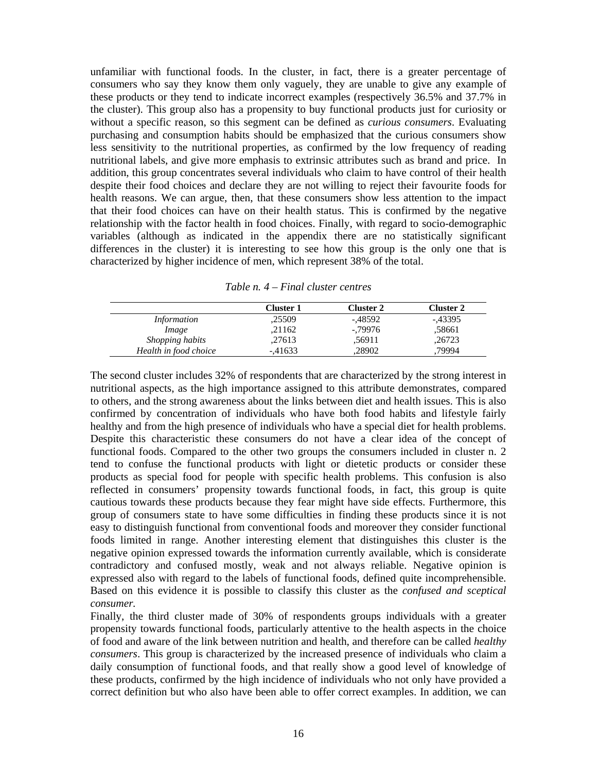unfamiliar with functional foods. In the cluster, in fact, there is a greater percentage of consumers who say they know them only vaguely, they are unable to give any example of these products or they tend to indicate incorrect examples (respectively 36.5% and 37.7% in the cluster). This group also has a propensity to buy functional products just for curiosity or without a specific reason, so this segment can be defined as *curious consumers*. Evaluating purchasing and consumption habits should be emphasized that the curious consumers show less sensitivity to the nutritional properties, as confirmed by the low frequency of reading nutritional labels, and give more emphasis to extrinsic attributes such as brand and price. In addition, this group concentrates several individuals who claim to have control of their health despite their food choices and declare they are not willing to reject their favourite foods for health reasons. We can argue, then, that these consumers show less attention to the impact that their food choices can have on their health status. This is confirmed by the negative relationship with the factor health in food choices. Finally, with regard to socio-demographic variables (although as indicated in the appendix there are no statistically significant differences in the cluster) it is interesting to see how this group is the only one that is characterized by higher incidence of men, which represent 38% of the total.

|                       | Cluster 1 | Cluster 2 | Cluster 2 |
|-----------------------|-----------|-----------|-----------|
| <i>Information</i>    | ,25509    | -.48592   | -,43395   |
| Image                 | .21162    | -.79976   | .58661    |
| Shopping habits       | .27613    | .56911    | ,26723    |
| Health in food choice | $-41633$  | .28902    | 79994     |

*Table n. 4 – Final cluster centres* 

The second cluster includes 32% of respondents that are characterized by the strong interest in nutritional aspects, as the high importance assigned to this attribute demonstrates, compared to others, and the strong awareness about the links between diet and health issues. This is also confirmed by concentration of individuals who have both food habits and lifestyle fairly healthy and from the high presence of individuals who have a special diet for health problems. Despite this characteristic these consumers do not have a clear idea of the concept of functional foods. Compared to the other two groups the consumers included in cluster n. 2 tend to confuse the functional products with light or dietetic products or consider these products as special food for people with specific health problems. This confusion is also reflected in consumers' propensity towards functional foods, in fact, this group is quite cautious towards these products because they fear might have side effects. Furthermore, this group of consumers state to have some difficulties in finding these products since it is not easy to distinguish functional from conventional foods and moreover they consider functional foods limited in range. Another interesting element that distinguishes this cluster is the negative opinion expressed towards the information currently available, which is considerate contradictory and confused mostly, weak and not always reliable. Negative opinion is expressed also with regard to the labels of functional foods, defined quite incomprehensible. Based on this evidence it is possible to classify this cluster as the *confused and sceptical consumer.* 

Finally, the third cluster made of 30% of respondents groups individuals with a greater propensity towards functional foods, particularly attentive to the health aspects in the choice of food and aware of the link between nutrition and health, and therefore can be called *healthy consumers*. This group is characterized by the increased presence of individuals who claim a daily consumption of functional foods, and that really show a good level of knowledge of these products, confirmed by the high incidence of individuals who not only have provided a correct definition but who also have been able to offer correct examples. In addition, we can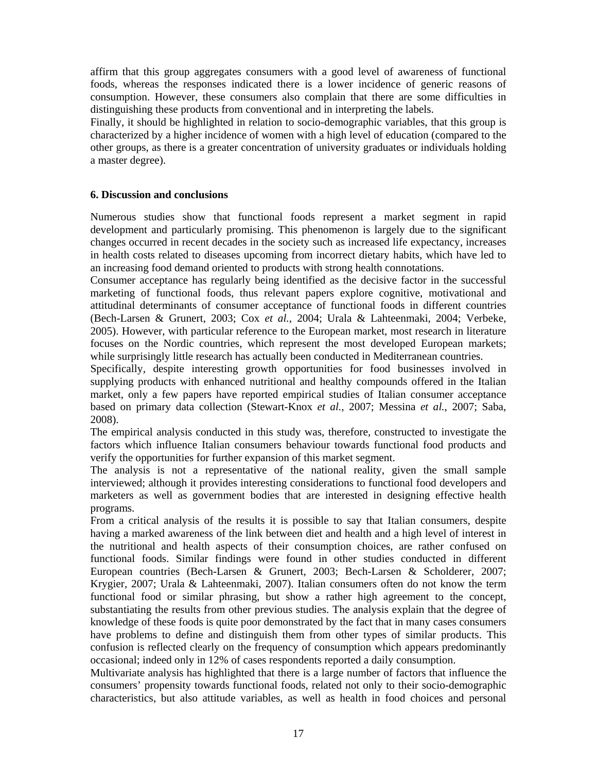affirm that this group aggregates consumers with a good level of awareness of functional foods, whereas the responses indicated there is a lower incidence of generic reasons of consumption. However, these consumers also complain that there are some difficulties in distinguishing these products from conventional and in interpreting the labels.

Finally, it should be highlighted in relation to socio-demographic variables, that this group is characterized by a higher incidence of women with a high level of education (compared to the other groups, as there is a greater concentration of university graduates or individuals holding a master degree).

## **6. Discussion and conclusions**

Numerous studies show that functional foods represent a market segment in rapid development and particularly promising. This phenomenon is largely due to the significant changes occurred in recent decades in the society such as increased life expectancy, increases in health costs related to diseases upcoming from incorrect dietary habits, which have led to an increasing food demand oriented to products with strong health connotations.

Consumer acceptance has regularly being identified as the decisive factor in the successful marketing of functional foods, thus relevant papers explore cognitive, motivational and attitudinal determinants of consumer acceptance of functional foods in different countries (Bech-Larsen & Grunert, 2003; Cox *et al.,* 2004; Urala & Lahteenmaki, 2004; Verbeke, 2005). However, with particular reference to the European market, most research in literature focuses on the Nordic countries, which represent the most developed European markets; while surprisingly little research has actually been conducted in Mediterranean countries.

Specifically, despite interesting growth opportunities for food businesses involved in supplying products with enhanced nutritional and healthy compounds offered in the Italian market, only a few papers have reported empirical studies of Italian consumer acceptance based on primary data collection (Stewart-Knox *et al.,* 2007; Messina *et al.*, 2007; Saba, 2008).

The empirical analysis conducted in this study was, therefore, constructed to investigate the factors which influence Italian consumers behaviour towards functional food products and verify the opportunities for further expansion of this market segment.

The analysis is not a representative of the national reality, given the small sample interviewed; although it provides interesting considerations to functional food developers and marketers as well as government bodies that are interested in designing effective health programs.

From a critical analysis of the results it is possible to say that Italian consumers, despite having a marked awareness of the link between diet and health and a high level of interest in the nutritional and health aspects of their consumption choices, are rather confused on functional foods. Similar findings were found in other studies conducted in different European countries (Bech-Larsen & Grunert, 2003; Bech-Larsen & Scholderer, 2007; Krygier, 2007; Urala & Lahteenmaki, 2007). Italian consumers often do not know the term functional food or similar phrasing, but show a rather high agreement to the concept, substantiating the results from other previous studies. The analysis explain that the degree of knowledge of these foods is quite poor demonstrated by the fact that in many cases consumers have problems to define and distinguish them from other types of similar products. This confusion is reflected clearly on the frequency of consumption which appears predominantly occasional; indeed only in 12% of cases respondents reported a daily consumption.

Multivariate analysis has highlighted that there is a large number of factors that influence the consumers' propensity towards functional foods, related not only to their socio-demographic characteristics, but also attitude variables, as well as health in food choices and personal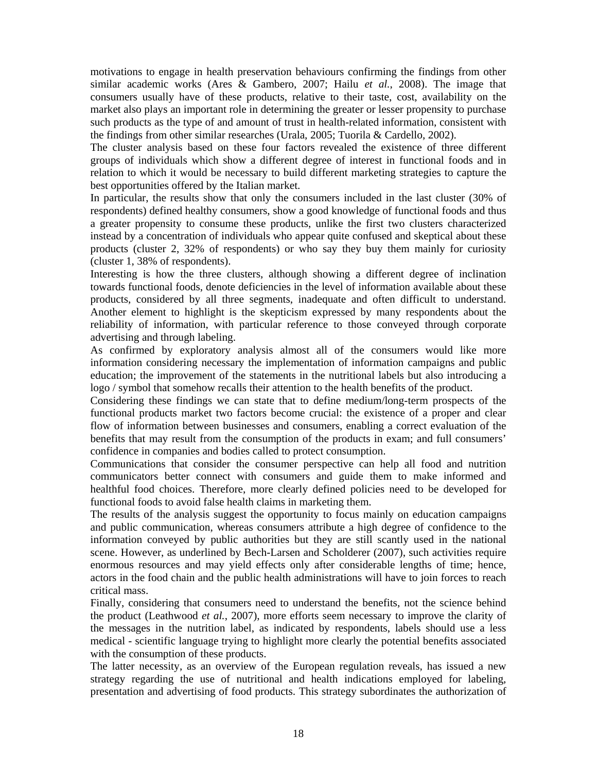motivations to engage in health preservation behaviours confirming the findings from other similar academic works (Ares & Gambero, 2007; Hailu *et al.*, 2008). The image that consumers usually have of these products, relative to their taste, cost, availability on the market also plays an important role in determining the greater or lesser propensity to purchase such products as the type of and amount of trust in health-related information, consistent with the findings from other similar researches (Urala, 2005; Tuorila & Cardello, 2002).

The cluster analysis based on these four factors revealed the existence of three different groups of individuals which show a different degree of interest in functional foods and in relation to which it would be necessary to build different marketing strategies to capture the best opportunities offered by the Italian market.

In particular, the results show that only the consumers included in the last cluster (30% of respondents) defined healthy consumers, show a good knowledge of functional foods and thus a greater propensity to consume these products, unlike the first two clusters characterized instead by a concentration of individuals who appear quite confused and skeptical about these products (cluster 2, 32% of respondents) or who say they buy them mainly for curiosity (cluster 1, 38% of respondents).

Interesting is how the three clusters, although showing a different degree of inclination towards functional foods, denote deficiencies in the level of information available about these products, considered by all three segments, inadequate and often difficult to understand. Another element to highlight is the skepticism expressed by many respondents about the reliability of information, with particular reference to those conveyed through corporate advertising and through labeling.

As confirmed by exploratory analysis almost all of the consumers would like more information considering necessary the implementation of information campaigns and public education; the improvement of the statements in the nutritional labels but also introducing a logo / symbol that somehow recalls their attention to the health benefits of the product.

Considering these findings we can state that to define medium/long-term prospects of the functional products market two factors become crucial: the existence of a proper and clear flow of information between businesses and consumers, enabling a correct evaluation of the benefits that may result from the consumption of the products in exam; and full consumers' confidence in companies and bodies called to protect consumption.

Communications that consider the consumer perspective can help all food and nutrition communicators better connect with consumers and guide them to make informed and healthful food choices. Therefore, more clearly defined policies need to be developed for functional foods to avoid false health claims in marketing them.

The results of the analysis suggest the opportunity to focus mainly on education campaigns and public communication, whereas consumers attribute a high degree of confidence to the information conveyed by public authorities but they are still scantly used in the national scene. However, as underlined by Bech-Larsen and Scholderer (2007), such activities require enormous resources and may yield effects only after considerable lengths of time; hence, actors in the food chain and the public health administrations will have to join forces to reach critical mass.

Finally, considering that consumers need to understand the benefits, not the science behind the product (Leathwood *et al.*, 2007), more efforts seem necessary to improve the clarity of the messages in the nutrition label, as indicated by respondents, labels should use a less medical - scientific language trying to highlight more clearly the potential benefits associated with the consumption of these products.

The latter necessity, as an overview of the European regulation reveals, has issued a new strategy regarding the use of nutritional and health indications employed for labeling, presentation and advertising of food products. This strategy subordinates the authorization of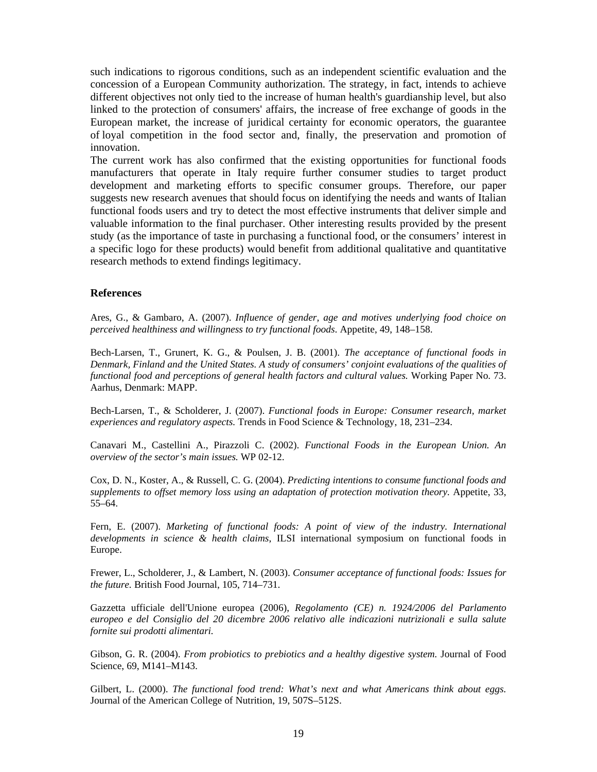such indications to rigorous conditions, such as an independent scientific evaluation and the concession of a European Community authorization. The strategy, in fact, intends to achieve different objectives not only tied to the increase of human health's guardianship level, but also linked to the protection of consumers' affairs, the increase of free exchange of goods in the European market, the increase of juridical certainty for economic operators, the guarantee of loyal competition in the food sector and, finally, the preservation and promotion of innovation.

The current work has also confirmed that the existing opportunities for functional foods manufacturers that operate in Italy require further consumer studies to target product development and marketing efforts to specific consumer groups. Therefore, our paper suggests new research avenues that should focus on identifying the needs and wants of Italian functional foods users and try to detect the most effective instruments that deliver simple and valuable information to the final purchaser. Other interesting results provided by the present study (as the importance of taste in purchasing a functional food, or the consumers' interest in a specific logo for these products) would benefit from additional qualitative and quantitative research methods to extend findings legitimacy.

#### **References**

Ares, G., & Gambaro, A. (2007). *Influence of gender, age and motives underlying food choice on perceived healthiness and willingness to try functional foods*. Appetite, 49, 148–158.

Bech-Larsen, T., Grunert, K. G., & Poulsen, J. B. (2001). *The acceptance of functional foods in Denmark, Finland and the United States. A study of consumers' conjoint evaluations of the qualities of functional food and perceptions of general health factors and cultural values.* Working Paper No. 73. Aarhus, Denmark: MAPP.

Bech-Larsen, T., & Scholderer, J. (2007). *Functional foods in Europe: Consumer research, market experiences and regulatory aspects.* Trends in Food Science & Technology, 18, 231–234.

Canavari M., Castellini A., Pirazzoli C. (2002). *Functional Foods in the European Union. An overview of the sector's main issues.* WP 02-12.

Cox, D. N., Koster, A., & Russell, C. G. (2004). *Predicting intentions to consume functional foods and supplements to offset memory loss using an adaptation of protection motivation theory.* Appetite, 33, 55–64.

Fern, E. (2007). *Marketing of functional foods: A point of view of the industry. International developments in science & health claims*, ILSI international symposium on functional foods in Europe.

Frewer, L., Scholderer, J., & Lambert, N. (2003). *Consumer acceptance of functional foods: Issues for the future.* British Food Journal, 105, 714–731.

Gazzetta ufficiale dell'Unione europea (2006), *Regolamento (CE) n. 1924/2006 del Parlamento europeo e del Consiglio del 20 dicembre 2006 relativo alle indicazioni nutrizionali e sulla salute fornite sui prodotti alimentari.* 

Gibson, G. R. (2004). *From probiotics to prebiotics and a healthy digestive system.* Journal of Food Science, 69, M141–M143.

Gilbert, L. (2000). *The functional food trend: What's next and what Americans think about eggs.* Journal of the American College of Nutrition, 19, 507S–512S.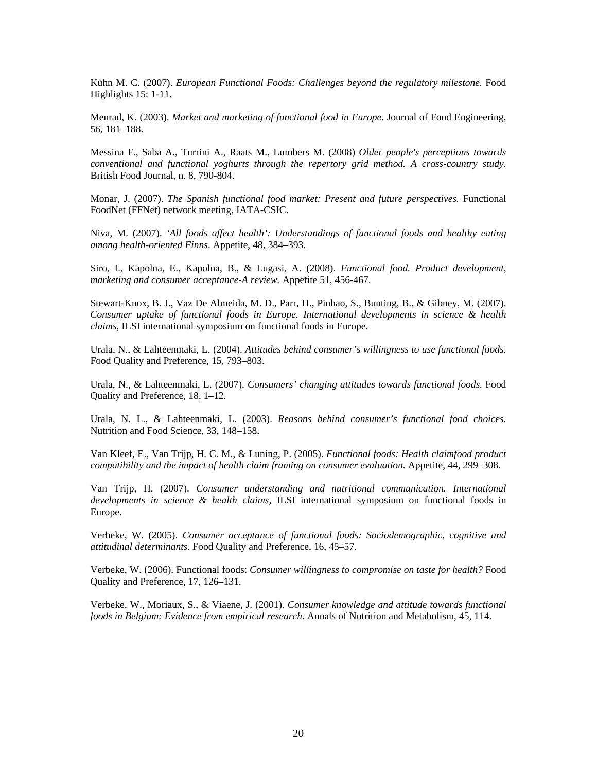Kühn M. C. (2007). *European Functional Foods: Challenges beyond the regulatory milestone.* Food Highlights 15: 1-11.

Menrad, K. (2003). *Market and marketing of functional food in Europe.* Journal of Food Engineering, 56, 181–188.

Messina F., Saba A., Turrini A., Raats M., Lumbers M. (2008) *Older people's perceptions towards conventional and functional yoghurts through the repertory grid method. A cross-country study.*  British Food Journal, n. 8, 790-804.

Monar, J. (2007). *The Spanish functional food market: Present and future perspectives.* Functional FoodNet (FFNet) network meeting, IATA-CSIC.

Niva, M. (2007). *'All foods affect health': Understandings of functional foods and healthy eating among health-oriented Finns*. Appetite, 48, 384–393.

Siro, I., Kapolna, E., Kapolna, B., & Lugasi, A. (2008). *Functional food. Product development, marketing and consumer acceptance-A review.* Appetite 51, 456-467.

Stewart-Knox, B. J., Vaz De Almeida, M. D., Parr, H., Pinhao, S., Bunting, B., & Gibney, M. (2007). *Consumer uptake of functional foods in Europe. International developments in science & health claims*, ILSI international symposium on functional foods in Europe.

Urala, N., & Lahteenmaki, L. (2004). *Attitudes behind consumer's willingness to use functional foods.* Food Quality and Preference, 15, 793–803.

Urala, N., & Lahteenmaki, L. (2007). *Consumers' changing attitudes towards functional foods.* Food Quality and Preference, 18, 1–12.

Urala, N. L., & Lahteenmaki, L. (2003). *Reasons behind consumer's functional food choices.* Nutrition and Food Science, 33, 148–158.

Van Kleef, E., Van Trijp, H. C. M., & Luning, P. (2005). *Functional foods: Health claimfood product compatibility and the impact of health claim framing on consumer evaluation.* Appetite, 44, 299–308.

Van Trijp, H. (2007). *Consumer understanding and nutritional communication. International developments in science & health claims,* ILSI international symposium on functional foods in Europe.

Verbeke, W. (2005). *Consumer acceptance of functional foods: Sociodemographic, cognitive and attitudinal determinants.* Food Quality and Preference, 16, 45–57.

Verbeke, W. (2006). Functional foods: *Consumer willingness to compromise on taste for health?* Food Quality and Preference, 17, 126–131.

Verbeke, W., Moriaux, S., & Viaene, J. (2001). *Consumer knowledge and attitude towards functional foods in Belgium: Evidence from empirical research.* Annals of Nutrition and Metabolism, 45, 114.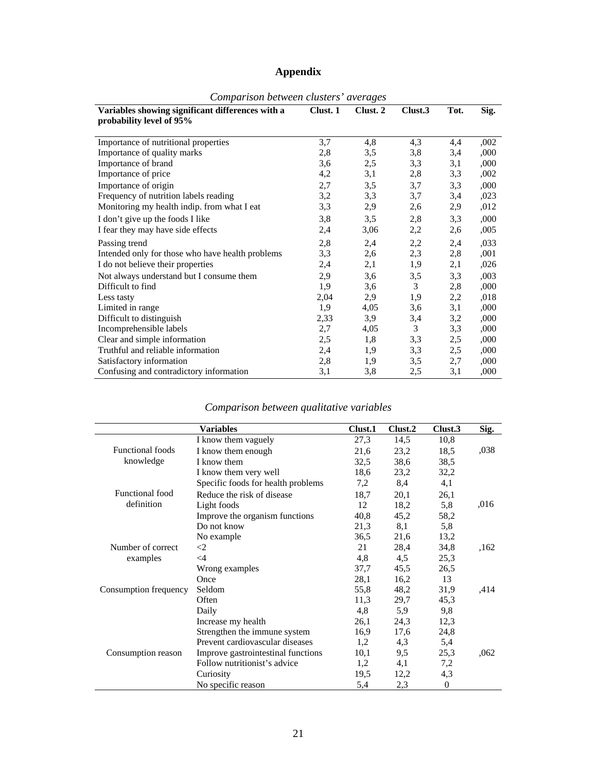# **Appendix**

| Variables showing significant differences with a | Clust. 1 | Clust. 2 | Clust.3 | Tot. | Sig. |  |
|--------------------------------------------------|----------|----------|---------|------|------|--|
| probability level of 95%                         |          |          |         |      |      |  |
|                                                  |          |          |         |      |      |  |
| Importance of nutritional properties             | 3,7      | 4,8      | 4,3     | 4,4  | ,002 |  |
| Importance of quality marks                      | 2,8      | 3,5      | 3,8     | 3,4  | ,000 |  |
| Importance of brand                              | 3,6      | 2,5      | 3,3     | 3,1  | ,000 |  |
| Importance of price                              | 4,2      | 3,1      | 2,8     | 3,3  | ,002 |  |
| Importance of origin                             | 2,7      | 3,5      | 3,7     | 3,3  | ,000 |  |
| Frequency of nutrition labels reading            | 3,2      | 3,3      | 3,7     | 3,4  | ,023 |  |
| Monitoring my health indip. from what I eat      | 3,3      | 2,9      | 2,6     | 2,9  | ,012 |  |
| I don't give up the foods I like                 | 3,8      | 3,5      | 2,8     | 3,3  | ,000 |  |
| I fear they may have side effects                | 2,4      | 3,06     | 2,2     | 2,6  | ,005 |  |
| Passing trend                                    | 2,8      | 2,4      | 2,2     | 2,4  | ,033 |  |
| Intended only for those who have health problems | 3,3      | 2,6      | 2,3     | 2,8  | ,001 |  |
| I do not believe their properties                | 2,4      | 2,1      | 1,9     | 2,1  | ,026 |  |
| Not always understand but I consume them         | 2,9      | 3,6      | 3,5     | 3,3  | ,003 |  |
| Difficult to find                                | 1,9      | 3,6      | 3       | 2,8  | ,000 |  |
| Less tasty                                       | 2,04     | 2,9      | 1,9     | 2,2  | ,018 |  |
| Limited in range                                 | 1,9      | 4,05     | 3,6     | 3,1  | ,000 |  |
| Difficult to distinguish                         | 2,33     | 3,9      | 3,4     | 3,2  | ,000 |  |
| Incomprehensible labels                          | 2,7      | 4,05     | 3       | 3,3  | ,000 |  |
| Clear and simple information                     | 2,5      | 1,8      | 3,3     | 2,5  | ,000 |  |
| Truthful and reliable information                | 2,4      | 1,9      | 3,3     | 2,5  | ,000 |  |
| Satisfactory information                         | 2,8      | 1,9      | 3,5     | 2,7  | ,000 |  |
| Confusing and contradictory information          | 3,1      | 3,8      | 2,5     | 3,1  | ,000 |  |

#### *Comparison between clusters' averages*

## *Comparison between qualitative variables*

|                         | Variables                          | Clust.1 | Clust.2 | Clust.3  | Sig. |
|-------------------------|------------------------------------|---------|---------|----------|------|
|                         | I know them vaguely                | 27,3    | 14,5    | 10,8     |      |
| <b>Functional foods</b> | I know them enough                 | 21,6    | 23,2    | 18.5     | ,038 |
| knowledge               | I know them                        | 32,5    | 38,6    | 38,5     |      |
|                         | I know them very well              | 18,6    | 23,2    | 32,2     |      |
|                         | Specific foods for health problems | 7,2     | 8,4     | 4,1      |      |
| Functional food         | Reduce the risk of disease         | 18,7    | 20,1    | 26,1     |      |
| definition              | Light foods                        | 12      | 18,2    | 5,8      | ,016 |
|                         | Improve the organism functions     | 40,8    | 45,2    | 58,2     |      |
|                         | Do not know                        | 21,3    | 8,1     | 5,8      |      |
|                         | No example                         | 36,5    | 21,6    | 13,2     |      |
| Number of correct       | $\langle 2$                        | 21      | 28,4    | 34,8     | ,162 |
| examples                | $\leq$ 4                           | 4,8     | 4,5     | 25,3     |      |
|                         | Wrong examples                     | 37,7    | 45,5    | 26,5     |      |
|                         | Once                               | 28,1    | 16,2    | 13       |      |
| Consumption frequency   | Seldom                             | 55,8    | 48,2    | 31,9     | ,414 |
|                         | Often                              | 11,3    | 29,7    | 45,3     |      |
|                         | Daily                              | 4,8     | 5.9     | 9,8      |      |
|                         | Increase my health                 | 26,1    | 24,3    | 12,3     |      |
|                         | Strengthen the immune system       | 16,9    | 17,6    | 24,8     |      |
|                         | Prevent cardiovascular diseases    | 1,2     | 4,3     | 5,4      |      |
| Consumption reason      | Improve gastrointestinal functions | 10,1    | 9,5     | 25,3     | ,062 |
|                         | Follow nutritionist's advice       | 1,2     | 4,1     | 7,2      |      |
|                         | Curiosity                          | 19,5    | 12,2    | 4,3      |      |
|                         | No specific reason                 | 5,4     | 2,3     | $\Omega$ |      |